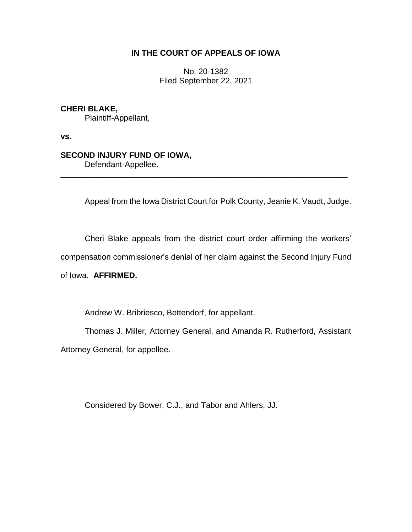## **IN THE COURT OF APPEALS OF IOWA**

No. 20-1382 Filed September 22, 2021

## **CHERI BLAKE,**

Plaintiff-Appellant,

**vs.**

## **SECOND INJURY FUND OF IOWA,**

Defendant-Appellee.

Appeal from the Iowa District Court for Polk County, Jeanie K. Vaudt, Judge.

Cheri Blake appeals from the district court order affirming the workers'

\_\_\_\_\_\_\_\_\_\_\_\_\_\_\_\_\_\_\_\_\_\_\_\_\_\_\_\_\_\_\_\_\_\_\_\_\_\_\_\_\_\_\_\_\_\_\_\_\_\_\_\_\_\_\_\_\_\_\_\_\_\_\_\_

compensation commissioner's denial of her claim against the Second Injury Fund

of Iowa. **AFFIRMED.**

Andrew W. Bribriesco, Bettendorf, for appellant.

Thomas J. Miller, Attorney General, and Amanda R. Rutherford, Assistant Attorney General, for appellee.

Considered by Bower, C.J., and Tabor and Ahlers, JJ.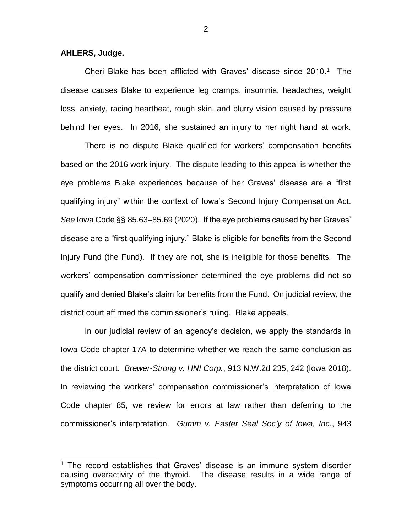**AHLERS, Judge.**

 $\overline{a}$ 

Cheri Blake has been afflicted with Graves' disease since  $2010.<sup>1</sup>$  The disease causes Blake to experience leg cramps, insomnia, headaches, weight loss, anxiety, racing heartbeat, rough skin, and blurry vision caused by pressure behind her eyes. In 2016, she sustained an injury to her right hand at work.

There is no dispute Blake qualified for workers' compensation benefits based on the 2016 work injury. The dispute leading to this appeal is whether the eye problems Blake experiences because of her Graves' disease are a "first qualifying injury" within the context of Iowa's Second Injury Compensation Act. *See* Iowa Code §§ 85.63–85.69 (2020). If the eye problems caused by her Graves' disease are a "first qualifying injury," Blake is eligible for benefits from the Second Injury Fund (the Fund). If they are not, she is ineligible for those benefits. The workers' compensation commissioner determined the eye problems did not so qualify and denied Blake's claim for benefits from the Fund. On judicial review, the district court affirmed the commissioner's ruling. Blake appeals.

In our judicial review of an agency's decision, we apply the standards in Iowa Code chapter 17A to determine whether we reach the same conclusion as the district court. *Brewer-Strong v. HNI Corp.*, 913 N.W.2d 235, 242 (Iowa 2018). In reviewing the workers' compensation commissioner's interpretation of Iowa Code chapter 85, we review for errors at law rather than deferring to the commissioner's interpretation. *Gumm v. Easter Seal Soc'y of Iowa, Inc.*, 943

 $1$  The record establishes that Graves' disease is an immune system disorder causing overactivity of the thyroid. The disease results in a wide range of symptoms occurring all over the body.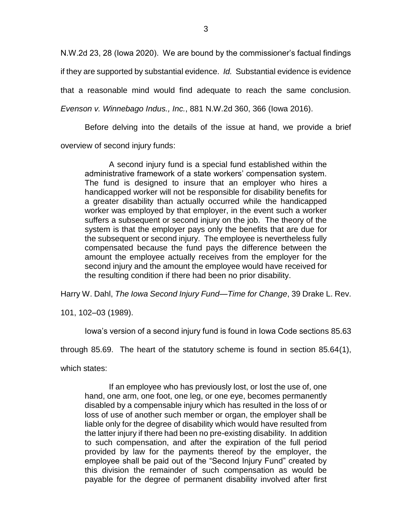N.W.2d 23, 28 (Iowa 2020). We are bound by the commissioner's factual findings if they are supported by substantial evidence. *Id.* Substantial evidence is evidence that a reasonable mind would find adequate to reach the same conclusion. *Evenson v. Winnebago Indus., Inc.*, 881 N.W.2d 360, 366 (Iowa 2016).

Before delving into the details of the issue at hand, we provide a brief overview of second injury funds:

A second injury fund is a special fund established within the administrative framework of a state workers' compensation system. The fund is designed to insure that an employer who hires a handicapped worker will not be responsible for disability benefits for a greater disability than actually occurred while the handicapped worker was employed by that employer, in the event such a worker suffers a subsequent or second injury on the job. The theory of the system is that the employer pays only the benefits that are due for the subsequent or second injury. The employee is nevertheless fully compensated because the fund pays the difference between the amount the employee actually receives from the employer for the second injury and the amount the employee would have received for the resulting condition if there had been no prior disability.

Harry W. Dahl, *The Iowa Second Injury Fund—Time for Change*, 39 Drake L. Rev.

101, 102–03 (1989).

Iowa's version of a second injury fund is found in Iowa Code sections 85.63

through 85.69. The heart of the statutory scheme is found in section 85.64(1),

which states:

If an employee who has previously lost, or lost the use of, one hand, one arm, one foot, one leg, or one eye, becomes permanently disabled by a compensable injury which has resulted in the loss of or loss of use of another such member or organ, the employer shall be liable only for the degree of disability which would have resulted from the latter injury if there had been no pre-existing disability. In addition to such compensation, and after the expiration of the full period provided by law for the payments thereof by the employer, the employee shall be paid out of the "Second Injury Fund" created by this division the remainder of such compensation as would be payable for the degree of permanent disability involved after first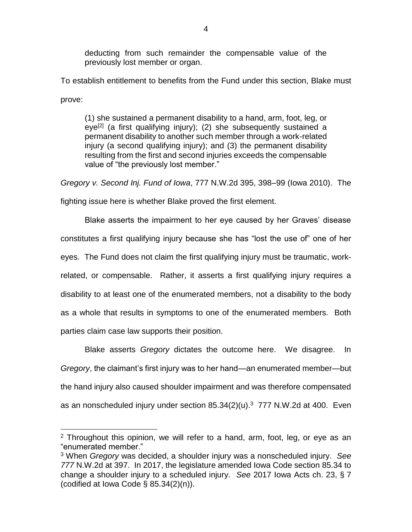deducting from such remainder the compensable value of the previously lost member or organ.

To establish entitlement to benefits from the Fund under this section, Blake must prove:

(1) she sustained a permanent disability to a hand, arm, foot, leg, or eye<sup>[2]</sup> (a first qualifying injury); (2) she subsequently sustained a permanent disability to another such member through a work-related injury (a second qualifying injury); and (3) the permanent disability resulting from the first and second injuries exceeds the compensable value of "the previously lost member."

*Gregory v. Second Inj. Fund of Iowa*, 777 N.W.2d 395, 398–99 (Iowa 2010). The

fighting issue here is whether Blake proved the first element.

Blake asserts the impairment to her eye caused by her Graves' disease constitutes a first qualifying injury because she has "lost the use of" one of her eyes. The Fund does not claim the first qualifying injury must be traumatic, workrelated, or compensable. Rather, it asserts a first qualifying injury requires a disability to at least one of the enumerated members, not a disability to the body as a whole that results in symptoms to one of the enumerated members. Both parties claim case law supports their position.

Blake asserts *Gregory* dictates the outcome here. We disagree. In *Gregory*, the claimant's first injury was to her hand—an enumerated member—but the hand injury also caused shoulder impairment and was therefore compensated as an nonscheduled injury under section  $85.34(2)(u).<sup>3</sup>$  777 N.W.2d at 400. Even

 $\overline{a}$ 

<sup>&</sup>lt;sup>2</sup> Throughout this opinion, we will refer to a hand, arm, foot, leg, or eye as an "enumerated member."

<sup>3</sup> When *Gregory* was decided, a shoulder injury was a nonscheduled injury. *See 777* N.W.2d at 397. In 2017, the legislature amended Iowa Code section 85.34 to change a shoulder injury to a scheduled injury. *See* 2017 Iowa Acts ch. 23, § 7 (codified at Iowa Code  $\S$  85.34(2)(n)).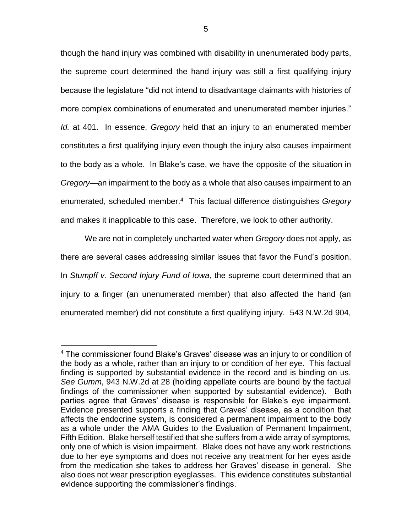though the hand injury was combined with disability in unenumerated body parts, the supreme court determined the hand injury was still a first qualifying injury because the legislature "did not intend to disadvantage claimants with histories of more complex combinations of enumerated and unenumerated member injuries." *Id.* at 401. In essence, *Gregory* held that an injury to an enumerated member constitutes a first qualifying injury even though the injury also causes impairment to the body as a whole. In Blake's case, we have the opposite of the situation in *Gregory*—an impairment to the body as a whole that also causes impairment to an enumerated, scheduled member.<sup>4</sup> This factual difference distinguishes *Gregory* and makes it inapplicable to this case. Therefore, we look to other authority.

We are not in completely uncharted water when *Gregory* does not apply, as there are several cases addressing similar issues that favor the Fund's position. In *Stumpff v. Second Injury Fund of Iowa*, the supreme court determined that an injury to a finger (an unenumerated member) that also affected the hand (an enumerated member) did not constitute a first qualifying injury. 543 N.W.2d 904,

 $\overline{a}$ 

<sup>4</sup> The commissioner found Blake's Graves' disease was an injury to or condition of the body as a whole, rather than an injury to or condition of her eye. This factual finding is supported by substantial evidence in the record and is binding on us. *See Gumm*, 943 N.W.2d at 28 (holding appellate courts are bound by the factual findings of the commissioner when supported by substantial evidence). Both parties agree that Graves' disease is responsible for Blake's eye impairment. Evidence presented supports a finding that Graves' disease, as a condition that affects the endocrine system, is considered a permanent impairment to the body as a whole under the AMA Guides to the Evaluation of Permanent Impairment, Fifth Edition. Blake herself testified that she suffers from a wide array of symptoms, only one of which is vision impairment. Blake does not have any work restrictions due to her eye symptoms and does not receive any treatment for her eyes aside from the medication she takes to address her Graves' disease in general. She also does not wear prescription eyeglasses. This evidence constitutes substantial evidence supporting the commissioner's findings.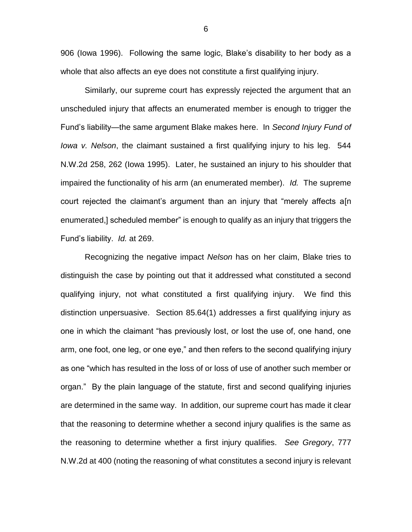906 (Iowa 1996). Following the same logic, Blake's disability to her body as a whole that also affects an eye does not constitute a first qualifying injury.

Similarly, our supreme court has expressly rejected the argument that an unscheduled injury that affects an enumerated member is enough to trigger the Fund's liability—the same argument Blake makes here. In *Second Injury Fund of Iowa v. Nelson*, the claimant sustained a first qualifying injury to his leg. 544 N.W.2d 258, 262 (Iowa 1995). Later, he sustained an injury to his shoulder that impaired the functionality of his arm (an enumerated member). *Id.* The supreme court rejected the claimant's argument than an injury that "merely affects a[n enumerated,] scheduled member" is enough to qualify as an injury that triggers the Fund's liability. *Id.* at 269.

Recognizing the negative impact *Nelson* has on her claim, Blake tries to distinguish the case by pointing out that it addressed what constituted a second qualifying injury, not what constituted a first qualifying injury. We find this distinction unpersuasive. Section 85.64(1) addresses a first qualifying injury as one in which the claimant "has previously lost, or lost the use of, one hand, one arm, one foot, one leg, or one eye," and then refers to the second qualifying injury as one "which has resulted in the loss of or loss of use of another such member or organ." By the plain language of the statute, first and second qualifying injuries are determined in the same way. In addition, our supreme court has made it clear that the reasoning to determine whether a second injury qualifies is the same as the reasoning to determine whether a first injury qualifies. *See Gregory*, 777 N.W.2d at 400 (noting the reasoning of what constitutes a second injury is relevant